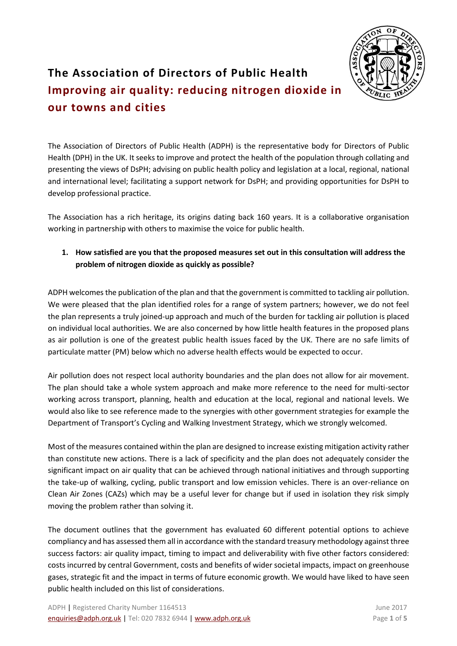

# **The Association of Directors of Public Health Improving air quality: reducing nitrogen dioxide in our towns and cities**

The Association of Directors of Public Health (ADPH) is the representative body for Directors of Public Health (DPH) in the UK. It seeks to improve and protect the health of the population through collating and presenting the views of DsPH; advising on public health policy and legislation at a local, regional, national and international level; facilitating a support network for DsPH; and providing opportunities for DsPH to develop professional practice.

The Association has a rich heritage, its origins dating back 160 years. It is a collaborative organisation working in partnership with others to maximise the voice for public health. 

## **1. How satisfied are you that the proposed measures set out in this consultation will address the problem of nitrogen dioxide as quickly as possible?**

ADPH welcomes the publication of the plan and that the government is committed to tackling air pollution. We were pleased that the plan identified roles for a range of system partners; however, we do not feel the plan represents a truly joined-up approach and much of the burden for tackling air pollution is placed on individual local authorities. We are also concerned by how little health features in the proposed plans as air pollution is one of the greatest public health issues faced by the UK. There are no safe limits of particulate matter (PM) below which no adverse health effects would be expected to occur.

Air pollution does not respect local authority boundaries and the plan does not allow for air movement. The plan should take a whole system approach and make more reference to the need for multi-sector working across transport, planning, health and education at the local, regional and national levels. We would also like to see reference made to the synergies with other government strategies for example the Department of Transport's Cycling and Walking Investment Strategy, which we strongly welcomed.

Most of the measures contained within the plan are designed to increase existing mitigation activity rather than constitute new actions. There is a lack of specificity and the plan does not adequately consider the significant impact on air quality that can be achieved through national initiatives and through supporting the take-up of walking, cycling, public transport and low emission vehicles. There is an over-reliance on Clean Air Zones (CAZs) which may be a useful lever for change but if used in isolation they risk simply moving the problem rather than solving it.

The document outlines that the government has evaluated 60 different potential options to achieve compliancy and has assessed them all in accordance with the standard treasury methodology against three success factors: air quality impact, timing to impact and deliverability with five other factors considered: costs incurred by central Government, costs and benefits of wider societal impacts, impact on greenhouse gases, strategic fit and the impact in terms of future economic growth. We would have liked to have seen public health included on this list of considerations.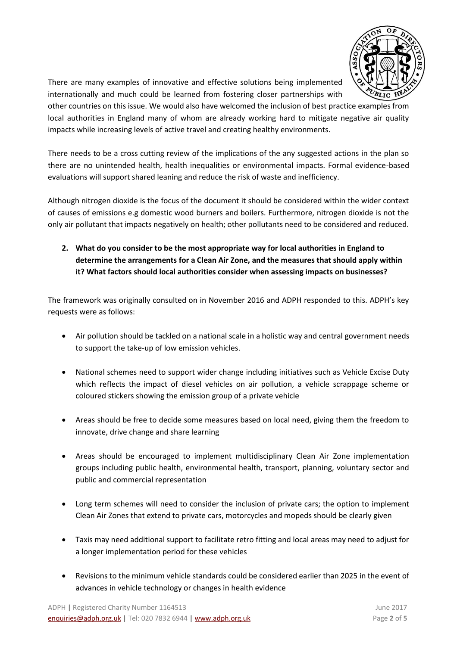

There are many examples of innovative and effective solutions being implemented internationally and much could be learned from fostering closer partnerships with

other countries on this issue. We would also have welcomed the inclusion of best practice examples from local authorities in England many of whom are already working hard to mitigate negative air quality impacts while increasing levels of active travel and creating healthy environments.

There needs to be a cross cutting review of the implications of the any suggested actions in the plan so there are no unintended health, health inequalities or environmental impacts. Formal evidence-based evaluations will support shared leaning and reduce the risk of waste and inefficiency.

Although nitrogen dioxide is the focus of the document it should be considered within the wider context of causes of emissions e.g domestic wood burners and boilers. Furthermore, nitrogen dioxide is not the only air pollutant that impacts negatively on health; other pollutants need to be considered and reduced.

**2. What do you consider to be the most appropriate way for local authorities in England to determine the arrangements for a Clean Air Zone, and the measures that should apply within it? What factors should local authorities consider when assessing impacts on businesses?** 

The framework was originally consulted on in November 2016 and ADPH responded to this. ADPH's key requests were as follows:

- Air pollution should be tackled on a national scale in a holistic way and central government needs to support the take-up of low emission vehicles.
- National schemes need to support wider change including initiatives such as Vehicle Excise Duty which reflects the impact of diesel vehicles on air pollution, a vehicle scrappage scheme or coloured stickers showing the emission group of a private vehicle
- Areas should be free to decide some measures based on local need, giving them the freedom to innovate, drive change and share learning
- Areas should be encouraged to implement multidisciplinary Clean Air Zone implementation groups including public health, environmental health, transport, planning, voluntary sector and public and commercial representation
- Long term schemes will need to consider the inclusion of private cars; the option to implement Clean Air Zones that extend to private cars, motorcycles and mopeds should be clearly given
- Taxis may need additional support to facilitate retro fitting and local areas may need to adjust for a longer implementation period for these vehicles
- Revisions to the minimum vehicle standards could be considered earlier than 2025 in the event of advances in vehicle technology or changes in health evidence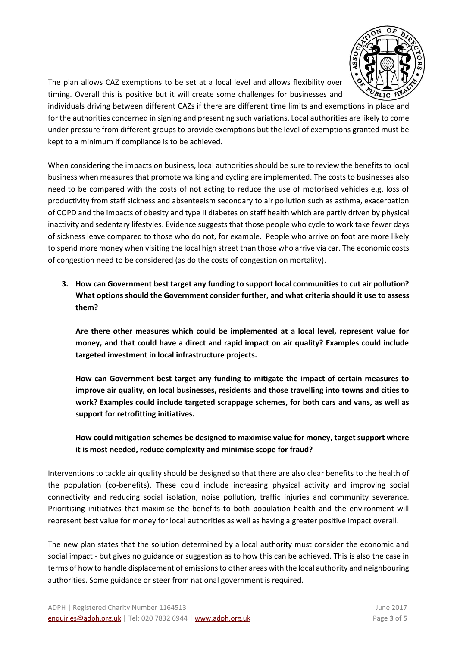

The plan allows CAZ exemptions to be set at a local level and allows flexibility over timing. Overall this is positive but it will create some challenges for businesses and

individuals driving between different CAZs if there are different time limits and exemptions in place and for the authorities concerned in signing and presenting such variations. Local authorities are likely to come under pressure from different groups to provide exemptions but the level of exemptions granted must be kept to a minimum if compliance is to be achieved.

When considering the impacts on business, local authorities should be sure to review the benefits to local business when measures that promote walking and cycling are implemented. The costs to businesses also need to be compared with the costs of not acting to reduce the use of motorised vehicles e.g. loss of productivity from staff sickness and absenteeism secondary to air pollution such as asthma, exacerbation of COPD and the impacts of obesity and type II diabetes on staff health which are partly driven by physical inactivity and sedentary lifestyles. Evidence suggests that those people who cycle to work take fewer days of sickness leave compared to those who do not, for example. People who arrive on foot are more likely to spend more money when visiting the local high street than those who arrive via car. The economic costs of congestion need to be considered (as do the costs of congestion on mortality).

**3. How can Government best target any funding to support local communities to cut air pollution? What options should the Government consider further, and what criteria should it use to assess them?**

**Are there other measures which could be implemented at a local level, represent value for money, and that could have a direct and rapid impact on air quality? Examples could include targeted investment in local infrastructure projects.** 

**How can Government best target any funding to mitigate the impact of certain measures to improve air quality, on local businesses, residents and those travelling into towns and cities to work? Examples could include targeted scrappage schemes, for both cars and vans, as well as support for retrofitting initiatives.**

## **How could mitigation schemes be designed to maximise value for money, target support where it is most needed, reduce complexity and minimise scope for fraud?**

Interventions to tackle air quality should be designed so that there are also clear benefits to the health of the population (co-benefits). These could include increasing physical activity and improving social connectivity and reducing social isolation, noise pollution, traffic injuries and community severance. Prioritising initiatives that maximise the benefits to both population health and the environment will represent best value for money for local authorities as well as having a greater positive impact overall.

The new plan states that the solution determined by a local authority must consider the economic and social impact - but gives no guidance or suggestion as to how this can be achieved. This is also the case in terms of how to handle displacement of emissions to other areas with the local authority and neighbouring authorities. Some guidance or steer from national government is required.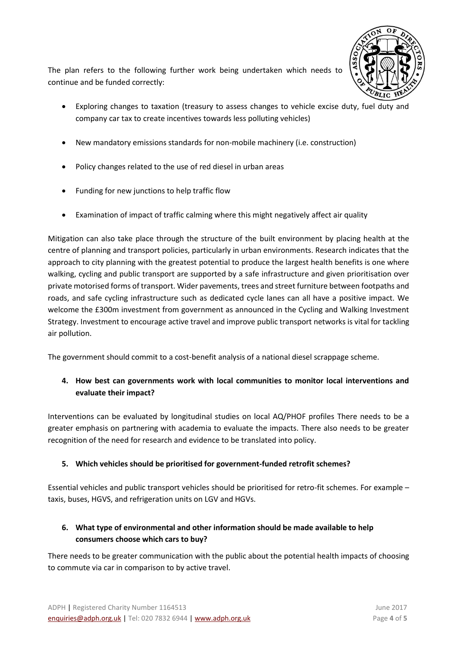

The plan refers to the following further work being undertaken which needs to continue and be funded correctly:

- Exploring changes to taxation (treasury to assess changes to vehicle excise duty, fuel duty and company car tax to create incentives towards less polluting vehicles)
- New mandatory emissions standards for non-mobile machinery (i.e. construction)
- Policy changes related to the use of red diesel in urban areas
- Funding for new junctions to help traffic flow
- Examination of impact of traffic calming where this might negatively affect air quality

Mitigation can also take place through the structure of the built environment by placing health at the centre of planning and transport policies, particularly in urban environments. Research indicates that the approach to city planning with the greatest potential to produce the largest health benefits is one where walking, cycling and public transport are supported by a safe infrastructure and given prioritisation over private motorised forms of transport. Wider pavements, trees and street furniture between footpaths and roads, and safe cycling infrastructure such as dedicated cycle lanes can all have a positive impact. We welcome the £300m investment from government as announced in the Cycling and Walking Investment Strategy. Investment to encourage active travel and improve public transport networks is vital for tackling air pollution.

The government should commit to a cost-benefit analysis of a national diesel scrappage scheme.

# **4. How best can governments work with local communities to monitor local interventions and evaluate their impact?**

Interventions can be evaluated by longitudinal studies on local AQ/PHOF profiles There needs to be a greater emphasis on partnering with academia to evaluate the impacts. There also needs to be greater recognition of the need for research and evidence to be translated into policy.

#### **5. Which vehicles should be prioritised for government-funded retrofit schemes?**

Essential vehicles and public transport vehicles should be prioritised for retro-fit schemes. For example – taxis, buses, HGVS, and refrigeration units on LGV and HGVs.

# **6. What type of environmental and other information should be made available to help consumers choose which cars to buy?**

There needs to be greater communication with the public about the potential health impacts of choosing to commute via car in comparison to by active travel.